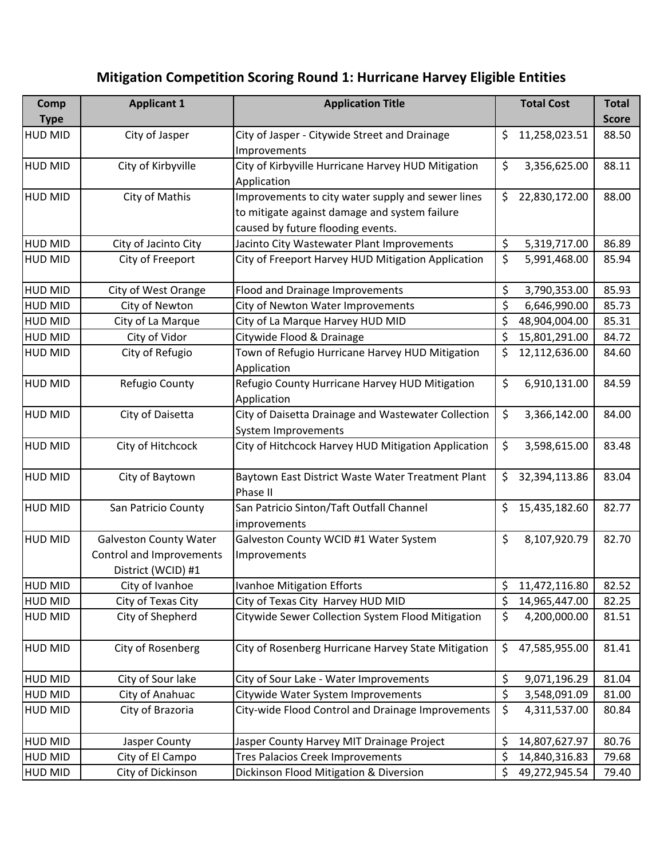## **Mitigation Competition Scoring Round 1: Hurricane Harvey Eligible Entities**

| Comp           | <b>Applicant 1</b>            | <b>Application Title</b>                            | <b>Total Cost</b>   | <b>Total</b> |
|----------------|-------------------------------|-----------------------------------------------------|---------------------|--------------|
| <b>Type</b>    |                               |                                                     |                     | <b>Score</b> |
| <b>HUD MID</b> | City of Jasper                | City of Jasper - Citywide Street and Drainage       | \$<br>11,258,023.51 | 88.50        |
|                |                               | Improvements                                        |                     |              |
| <b>HUD MID</b> | City of Kirbyville            | City of Kirbyville Hurricane Harvey HUD Mitigation  | \$<br>3,356,625.00  | 88.11        |
|                |                               | Application                                         |                     |              |
| <b>HUD MID</b> | City of Mathis                | Improvements to city water supply and sewer lines   | \$<br>22,830,172.00 | 88.00        |
|                |                               | to mitigate against damage and system failure       |                     |              |
|                |                               | caused by future flooding events.                   |                     |              |
| <b>HUD MID</b> | City of Jacinto City          | Jacinto City Wastewater Plant Improvements          | \$<br>5,319,717.00  | 86.89        |
| <b>HUD MID</b> | City of Freeport              | City of Freeport Harvey HUD Mitigation Application  | \$<br>5,991,468.00  | 85.94        |
| <b>HUD MID</b> | City of West Orange           | Flood and Drainage Improvements                     | \$<br>3,790,353.00  | 85.93        |
| <b>HUD MID</b> | City of Newton                | City of Newton Water Improvements                   | \$<br>6,646,990.00  | 85.73        |
| <b>HUD MID</b> | City of La Marque             | City of La Marque Harvey HUD MID                    | \$<br>48,904,004.00 | 85.31        |
| <b>HUD MID</b> | City of Vidor                 | Citywide Flood & Drainage                           | \$<br>15,801,291.00 | 84.72        |
| <b>HUD MID</b> | City of Refugio               | Town of Refugio Hurricane Harvey HUD Mitigation     | \$<br>12,112,636.00 | 84.60        |
|                |                               | Application                                         |                     |              |
| <b>HUD MID</b> | Refugio County                | Refugio County Hurricane Harvey HUD Mitigation      | \$<br>6,910,131.00  | 84.59        |
|                |                               | Application                                         |                     |              |
| <b>HUD MID</b> | City of Daisetta              | City of Daisetta Drainage and Wastewater Collection | \$<br>3,366,142.00  | 84.00        |
|                |                               | System Improvements                                 |                     |              |
| <b>HUD MID</b> | City of Hitchcock             | City of Hitchcock Harvey HUD Mitigation Application | \$<br>3,598,615.00  | 83.48        |
| <b>HUD MID</b> | City of Baytown               | Baytown East District Waste Water Treatment Plant   | \$<br>32,394,113.86 | 83.04        |
|                |                               | Phase II                                            |                     |              |
| <b>HUD MID</b> | San Patricio County           | San Patricio Sinton/Taft Outfall Channel            | \$<br>15,435,182.60 | 82.77        |
|                |                               | improvements                                        |                     |              |
| <b>HUD MID</b> | <b>Galveston County Water</b> | Galveston County WCID #1 Water System               | \$<br>8,107,920.79  | 82.70        |
|                | Control and Improvements      | Improvements                                        |                     |              |
|                | District (WCID) #1            |                                                     |                     |              |
| <b>HUD MID</b> | City of Ivanhoe               | Ivanhoe Mitigation Efforts                          | \$<br>11,472,116.80 | 82.52        |
| <b>HUD MID</b> | City of Texas City            | City of Texas City Harvey HUD MID                   | \$<br>14,965,447.00 | 82.25        |
| <b>HUD MID</b> | City of Shepherd              | Citywide Sewer Collection System Flood Mitigation   | \$<br>4,200,000.00  | 81.51        |
| <b>HUD MID</b> | City of Rosenberg             | City of Rosenberg Hurricane Harvey State Mitigation | \$<br>47,585,955.00 | 81.41        |
| <b>HUD MID</b> | City of Sour lake             | City of Sour Lake - Water Improvements              | \$<br>9,071,196.29  | 81.04        |
| <b>HUD MID</b> | City of Anahuac               | Citywide Water System Improvements                  | \$<br>3,548,091.09  | 81.00        |
| <b>HUD MID</b> | City of Brazoria              | City-wide Flood Control and Drainage Improvements   | \$<br>4,311,537.00  | 80.84        |
|                |                               |                                                     |                     |              |
| <b>HUD MID</b> | Jasper County                 | Jasper County Harvey MIT Drainage Project           | \$<br>14,807,627.97 | 80.76        |
| <b>HUD MID</b> | City of El Campo              | <b>Tres Palacios Creek Improvements</b>             | \$<br>14,840,316.83 | 79.68        |
| <b>HUD MID</b> | City of Dickinson             | Dickinson Flood Mitigation & Diversion              | \$<br>49,272,945.54 | 79.40        |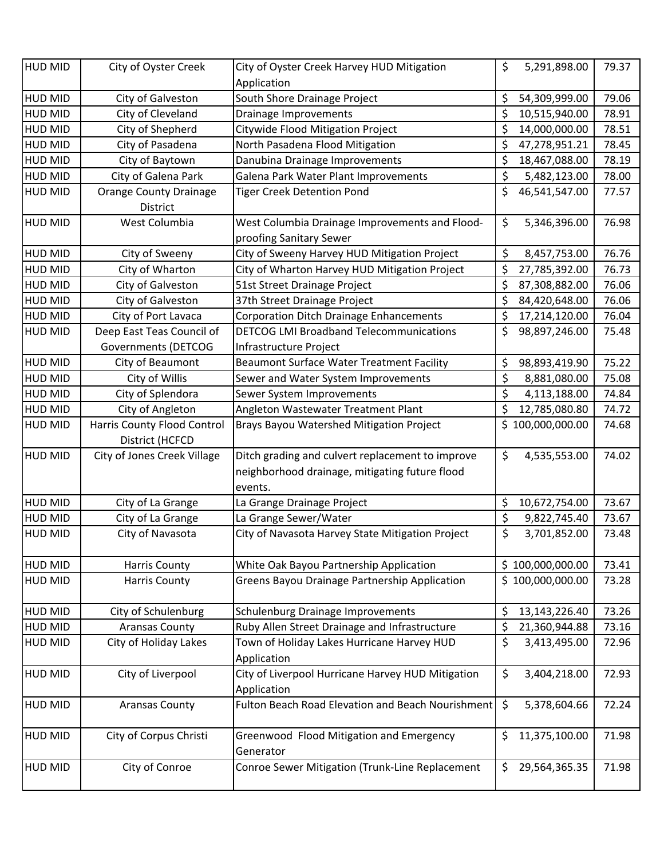| <b>HUD MID</b>                   | City of Oyster Creek                           | City of Oyster Creek Harvey HUD Mitigation                                                         | \$<br>5,291,898.00      | 79.37 |
|----------------------------------|------------------------------------------------|----------------------------------------------------------------------------------------------------|-------------------------|-------|
|                                  |                                                | Application                                                                                        |                         | 79.06 |
| <b>HUD MID</b><br><b>HUD MID</b> | City of Galveston                              | South Shore Drainage Project                                                                       | \$<br>54,309,999.00     | 78.91 |
|                                  | City of Cleveland                              | Drainage Improvements                                                                              | \$<br>10,515,940.00     |       |
| <b>HUD MID</b>                   | City of Shepherd                               | Citywide Flood Mitigation Project                                                                  | \$<br>14,000,000.00     | 78.51 |
| <b>HUD MID</b>                   | City of Pasadena                               | North Pasadena Flood Mitigation                                                                    | \$<br>47,278,951.21     | 78.45 |
| <b>HUD MID</b>                   | City of Baytown                                | Danubina Drainage Improvements                                                                     | \$<br>18,467,088.00     | 78.19 |
| <b>HUD MID</b>                   | City of Galena Park                            | Galena Park Water Plant Improvements                                                               | \$<br>5,482,123.00      | 78.00 |
| <b>HUD MID</b>                   | <b>Orange County Drainage</b><br>District      | <b>Tiger Creek Detention Pond</b>                                                                  | \$<br>46,541,547.00     | 77.57 |
| <b>HUD MID</b>                   | West Columbia                                  | West Columbia Drainage Improvements and Flood-                                                     | \$<br>5,346,396.00      | 76.98 |
|                                  |                                                | proofing Sanitary Sewer                                                                            |                         |       |
| <b>HUD MID</b>                   | City of Sweeny                                 | City of Sweeny Harvey HUD Mitigation Project                                                       | \$<br>8,457,753.00      | 76.76 |
| <b>HUD MID</b>                   | City of Wharton                                | City of Wharton Harvey HUD Mitigation Project                                                      | \$<br>27,785,392.00     | 76.73 |
| <b>HUD MID</b>                   | City of Galveston                              | 51st Street Drainage Project                                                                       | \$<br>87,308,882.00     | 76.06 |
| <b>HUD MID</b>                   | City of Galveston                              | 37th Street Drainage Project                                                                       | \$<br>84,420,648.00     | 76.06 |
| <b>HUD MID</b>                   | City of Port Lavaca                            | <b>Corporation Ditch Drainage Enhancements</b>                                                     | \$<br>17,214,120.00     | 76.04 |
| <b>HUD MID</b>                   | Deep East Teas Council of                      | <b>DETCOG LMI Broadband Telecommunications</b>                                                     | \$<br>98,897,246.00     | 75.48 |
|                                  | <b>Governments (DETCOG</b>                     | Infrastructure Project                                                                             |                         |       |
| <b>HUD MID</b>                   | City of Beaumont                               | <b>Beaumont Surface Water Treatment Facility</b>                                                   | \$<br>98,893,419.90     | 75.22 |
| <b>HUD MID</b>                   | City of Willis                                 | Sewer and Water System Improvements                                                                | \$<br>8,881,080.00      | 75.08 |
| <b>HUD MID</b>                   | City of Splendora                              | Sewer System Improvements                                                                          | \$<br>4,113,188.00      | 74.84 |
| <b>HUD MID</b>                   | City of Angleton                               | Angleton Wastewater Treatment Plant                                                                | \$<br>12,785,080.80     | 74.72 |
| <b>HUD MID</b>                   | <b>Harris County Flood Control</b>             | <b>Brays Bayou Watershed Mitigation Project</b>                                                    | \$100,000,000.00        | 74.68 |
| <b>HUD MID</b>                   | District (HCFCD<br>City of Jones Creek Village |                                                                                                    | \$<br>4,535,553.00      | 74.02 |
|                                  |                                                | Ditch grading and culvert replacement to improve<br>neighborhood drainage, mitigating future flood |                         |       |
|                                  |                                                | events.                                                                                            |                         |       |
| <b>HUD MID</b>                   | City of La Grange                              | La Grange Drainage Project                                                                         | \$<br>10,672,754.00     | 73.67 |
| <b>HUD MID</b>                   | City of La Grange                              | La Grange Sewer/Water                                                                              | \$<br>9,822,745.40      | 73.67 |
| <b>HUD MID</b>                   | City of Navasota                               | City of Navasota Harvey State Mitigation Project                                                   | \$<br>3,701,852.00      | 73.48 |
| <b>HUD MID</b>                   | <b>Harris County</b>                           | White Oak Bayou Partnership Application                                                            | \$100,000,000.00        | 73.41 |
| <b>HUD MID</b>                   | <b>Harris County</b>                           | <b>Greens Bayou Drainage Partnership Application</b>                                               | \$100,000,000.00        | 73.28 |
| <b>HUD MID</b>                   | City of Schulenburg                            | Schulenburg Drainage Improvements                                                                  | \$<br>13,143,226.40     | 73.26 |
| <b>HUD MID</b>                   | <b>Aransas County</b>                          | Ruby Allen Street Drainage and Infrastructure                                                      | \$<br>21,360,944.88     | 73.16 |
| <b>HUD MID</b>                   | City of Holiday Lakes                          | Town of Holiday Lakes Hurricane Harvey HUD                                                         | \$<br>3,413,495.00      | 72.96 |
|                                  |                                                | Application                                                                                        |                         |       |
| <b>HUD MID</b>                   | City of Liverpool                              | City of Liverpool Hurricane Harvey HUD Mitigation<br>Application                                   | \$<br>3,404,218.00      | 72.93 |
| <b>HUD MID</b>                   | <b>Aransas County</b>                          | Fulton Beach Road Elevation and Beach Nourishment                                                  | $\zeta$<br>5,378,604.66 | 72.24 |
| <b>HUD MID</b>                   | City of Corpus Christi                         | Greenwood Flood Mitigation and Emergency<br>Generator                                              | \$<br>11,375,100.00     | 71.98 |
| <b>HUD MID</b>                   | City of Conroe                                 | Conroe Sewer Mitigation (Trunk-Line Replacement                                                    | \$<br>29,564,365.35     | 71.98 |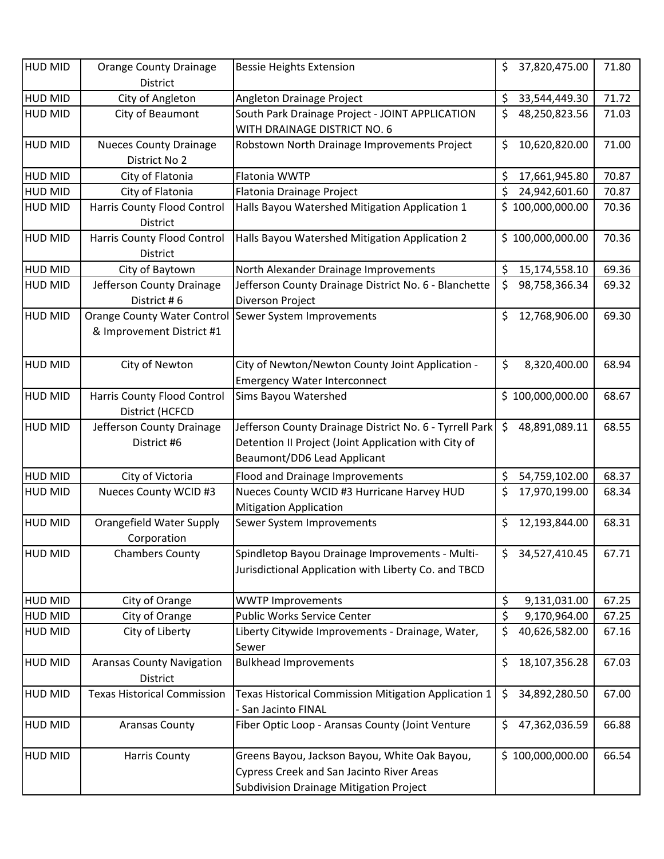| <b>HUD MID</b> | <b>Orange County Drainage</b><br>District             | <b>Bessie Heights Extension</b>                                                                         | \$<br>37,820,475.00    | 71.80 |
|----------------|-------------------------------------------------------|---------------------------------------------------------------------------------------------------------|------------------------|-------|
| HUD MID        | City of Angleton                                      | Angleton Drainage Project                                                                               | \$<br>33,544,449.30    | 71.72 |
| <b>HUD MID</b> | City of Beaumont                                      | South Park Drainage Project - JOINT APPLICATION                                                         | \$<br>48,250,823.56    | 71.03 |
|                |                                                       | WITH DRAINAGE DISTRICT NO. 6                                                                            |                        |       |
| <b>HUD MID</b> | <b>Nueces County Drainage</b>                         | Robstown North Drainage Improvements Project                                                            | \$<br>10,620,820.00    | 71.00 |
|                | District No 2                                         |                                                                                                         |                        |       |
| <b>HUD MID</b> | City of Flatonia                                      | Flatonia WWTP                                                                                           | \$<br>17,661,945.80    | 70.87 |
| <b>HUD MID</b> | City of Flatonia                                      | Flatonia Drainage Project                                                                               | \$<br>24,942,601.60    | 70.87 |
| <b>HUD MID</b> | <b>Harris County Flood Control</b>                    | Halls Bayou Watershed Mitigation Application 1                                                          | \$100,000,000.00       | 70.36 |
|                | <b>District</b>                                       |                                                                                                         |                        |       |
| <b>HUD MID</b> | Harris County Flood Control                           | Halls Bayou Watershed Mitigation Application 2                                                          | \$100,000,000.00       | 70.36 |
|                | District                                              |                                                                                                         |                        |       |
| <b>HUD MID</b> | City of Baytown                                       | North Alexander Drainage Improvements                                                                   | \$<br>15,174,558.10    | 69.36 |
| <b>HUD MID</b> | Jefferson County Drainage                             | Jefferson County Drainage District No. 6 - Blanchette                                                   | \$<br>98,758,366.34    | 69.32 |
|                | District #6                                           | Diverson Project                                                                                        |                        |       |
| <b>HUD MID</b> | Orange County Water Control Sewer System Improvements |                                                                                                         | \$<br>12,768,906.00    | 69.30 |
|                | & Improvement District #1                             |                                                                                                         |                        |       |
|                |                                                       |                                                                                                         |                        |       |
| <b>HUD MID</b> | City of Newton                                        | City of Newton/Newton County Joint Application -                                                        | \$<br>8,320,400.00     | 68.94 |
|                |                                                       | <b>Emergency Water Interconnect</b>                                                                     |                        |       |
| <b>HUD MID</b> | Harris County Flood Control                           | <b>Sims Bayou Watershed</b>                                                                             | \$100,000,000.00       | 68.67 |
|                | District (HCFCD                                       |                                                                                                         |                        |       |
| <b>HUD MID</b> | Jefferson County Drainage                             | Jefferson County Drainage District No. 6 - Tyrrell Park                                                 | \$<br>48,891,089.11    | 68.55 |
|                | District #6                                           | Detention II Project (Joint Application with City of                                                    |                        |       |
|                |                                                       | Beaumont/DD6 Lead Applicant                                                                             |                        |       |
| <b>HUD MID</b> | City of Victoria                                      | Flood and Drainage Improvements                                                                         | \$<br>54,759,102.00    | 68.37 |
| <b>HUD MID</b> | <b>Nueces County WCID #3</b>                          | Nueces County WCID #3 Hurricane Harvey HUD                                                              | \$<br>17,970,199.00    | 68.34 |
|                |                                                       | <b>Mitigation Application</b>                                                                           |                        |       |
| <b>HUD MID</b> | Orangefield Water Supply                              | Sewer System Improvements                                                                               | \$<br>12,193,844.00    | 68.31 |
|                | Corporation                                           |                                                                                                         |                        |       |
| HUD MID        | <b>Chambers County</b>                                | Spindletop Bayou Drainage Improvements - Multi-<br>Jurisdictional Application with Liberty Co. and TBCD | 34,527,410.45<br>Ş     | 67.71 |
|                |                                                       |                                                                                                         |                        |       |
| <b>HUD MID</b> | City of Orange                                        | <b>WWTP Improvements</b>                                                                                | \$<br>9,131,031.00     | 67.25 |
| <b>HUD MID</b> | City of Orange                                        | Public Works Service Center                                                                             | \$<br>9,170,964.00     | 67.25 |
| HUD MID        | City of Liberty                                       | Liberty Citywide Improvements - Drainage, Water,                                                        | \$<br>40,626,582.00    | 67.16 |
|                |                                                       | Sewer                                                                                                   |                        |       |
| <b>HUD MID</b> | <b>Aransas County Navigation</b>                      | <b>Bulkhead Improvements</b>                                                                            | \$<br>18, 107, 356. 28 | 67.03 |
|                | District                                              |                                                                                                         |                        |       |
| <b>HUD MID</b> | <b>Texas Historical Commission</b>                    | Texas Historical Commission Mitigation Application 1                                                    | \$<br>34,892,280.50    | 67.00 |
|                |                                                       | - San Jacinto FINAL                                                                                     |                        |       |
| <b>HUD MID</b> | <b>Aransas County</b>                                 | Fiber Optic Loop - Aransas County (Joint Venture                                                        | \$<br>47,362,036.59    | 66.88 |
|                |                                                       |                                                                                                         |                        |       |
| <b>HUD MID</b> | <b>Harris County</b>                                  | Greens Bayou, Jackson Bayou, White Oak Bayou,                                                           | \$100,000,000.00       | 66.54 |
|                |                                                       | Cypress Creek and San Jacinto River Areas                                                               |                        |       |
|                |                                                       | <b>Subdivision Drainage Mitigation Project</b>                                                          |                        |       |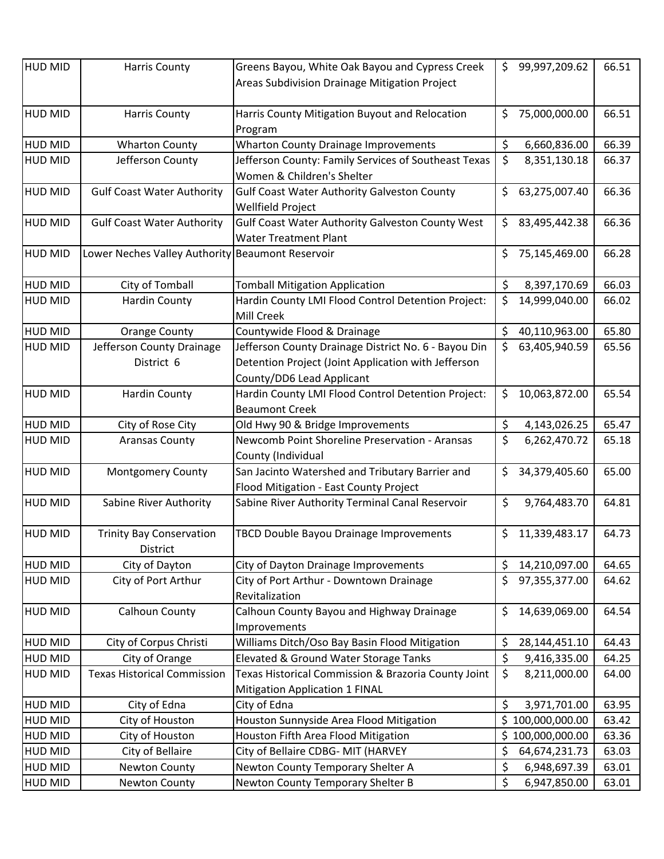| <b>HUD MID</b> | <b>Harris County</b>                             | Greens Bayou, White Oak Bayou and Cypress Creek<br>Areas Subdivision Drainage Mitigation Project                                         |     | \$99,997,209.62 | 66.51 |
|----------------|--------------------------------------------------|------------------------------------------------------------------------------------------------------------------------------------------|-----|-----------------|-------|
| <b>HUD MID</b> | <b>Harris County</b>                             | Harris County Mitigation Buyout and Relocation<br>Program                                                                                | \$  | 75,000,000.00   | 66.51 |
| <b>HUD MID</b> | <b>Wharton County</b>                            | <b>Wharton County Drainage Improvements</b>                                                                                              | \$  | 6,660,836.00    | 66.39 |
| <b>HUD MID</b> | Jefferson County                                 | Jefferson County: Family Services of Southeast Texas<br>Women & Children's Shelter                                                       | \$  | 8,351,130.18    | 66.37 |
| <b>HUD MID</b> | <b>Gulf Coast Water Authority</b>                | <b>Gulf Coast Water Authority Galveston County</b><br>Wellfield Project                                                                  | \$  | 63,275,007.40   | 66.36 |
| <b>HUD MID</b> | <b>Gulf Coast Water Authority</b>                | Gulf Coast Water Authority Galveston County West<br><b>Water Treatment Plant</b>                                                         | \$  | 83,495,442.38   | 66.36 |
| <b>HUD MID</b> | Lower Neches Valley Authority Beaumont Reservoir |                                                                                                                                          | \$  | 75,145,469.00   | 66.28 |
| <b>HUD MID</b> | City of Tomball                                  | <b>Tomball Mitigation Application</b>                                                                                                    | \$  | 8,397,170.69    | 66.03 |
| <b>HUD MID</b> | <b>Hardin County</b>                             | Hardin County LMI Flood Control Detention Project:<br>Mill Creek                                                                         | \$  | 14,999,040.00   | 66.02 |
| <b>HUD MID</b> | <b>Orange County</b>                             | Countywide Flood & Drainage                                                                                                              | \$  | 40,110,963.00   | 65.80 |
| <b>HUD MID</b> | Jefferson County Drainage<br>District 6          | Jefferson County Drainage District No. 6 - Bayou Din<br>Detention Project (Joint Application with Jefferson<br>County/DD6 Lead Applicant | \$  | 63,405,940.59   | 65.56 |
| <b>HUD MID</b> | <b>Hardin County</b>                             | Hardin County LMI Flood Control Detention Project:<br><b>Beaumont Creek</b>                                                              | \$  | 10,063,872.00   | 65.54 |
| <b>HUD MID</b> | City of Rose City                                | Old Hwy 90 & Bridge Improvements                                                                                                         | \$  | 4,143,026.25    | 65.47 |
| <b>HUD MID</b> | <b>Aransas County</b>                            | Newcomb Point Shoreline Preservation - Aransas<br>County (Individual                                                                     | \$  | 6,262,470.72    | 65.18 |
| <b>HUD MID</b> | <b>Montgomery County</b>                         | San Jacinto Watershed and Tributary Barrier and<br>Flood Mitigation - East County Project                                                | \$  | 34,379,405.60   | 65.00 |
| <b>HUD MID</b> | Sabine River Authority                           | Sabine River Authority Terminal Canal Reservoir                                                                                          | \$  | 9,764,483.70    | 64.81 |
| <b>HUD MID</b> | <b>Trinity Bay Conservation</b><br>District      | TBCD Double Bayou Drainage Improvements                                                                                                  | \$  | 11,339,483.17   | 64.73 |
| <b>HUD MID</b> | City of Dayton                                   | City of Dayton Drainage Improvements                                                                                                     | \$  | 14,210,097.00   | 64.65 |
| <b>HUD MID</b> | City of Port Arthur                              | City of Port Arthur - Downtown Drainage<br>Revitalization                                                                                | \$  | 97,355,377.00   | 64.62 |
| <b>HUD MID</b> | Calhoun County                                   | Calhoun County Bayou and Highway Drainage<br>Improvements                                                                                | \$  | 14,639,069.00   | 64.54 |
| <b>HUD MID</b> | City of Corpus Christi                           | Williams Ditch/Oso Bay Basin Flood Mitigation                                                                                            | \$  | 28,144,451.10   | 64.43 |
| <b>HUD MID</b> | City of Orange                                   | Elevated & Ground Water Storage Tanks                                                                                                    | \$  | 9,416,335.00    | 64.25 |
| <b>HUD MID</b> | <b>Texas Historical Commission</b>               | Texas Historical Commission & Brazoria County Joint<br>Mitigation Application 1 FINAL                                                    | \$  | 8,211,000.00    | 64.00 |
| <b>HUD MID</b> | City of Edna                                     | City of Edna                                                                                                                             | \$  | 3,971,701.00    | 63.95 |
| <b>HUD MID</b> | City of Houston                                  | Houston Sunnyside Area Flood Mitigation                                                                                                  | \$  | 100,000,000.00  | 63.42 |
| <b>HUD MID</b> | City of Houston                                  | Houston Fifth Area Flood Mitigation                                                                                                      | \$. | 100,000,000.00  | 63.36 |
| <b>HUD MID</b> | City of Bellaire                                 | City of Bellaire CDBG- MIT (HARVEY                                                                                                       | \$  | 64,674,231.73   | 63.03 |
| <b>HUD MID</b> | Newton County                                    | Newton County Temporary Shelter A                                                                                                        | \$  | 6,948,697.39    | 63.01 |
| HUD MID        | <b>Newton County</b>                             | Newton County Temporary Shelter B                                                                                                        | \$  | 6,947,850.00    | 63.01 |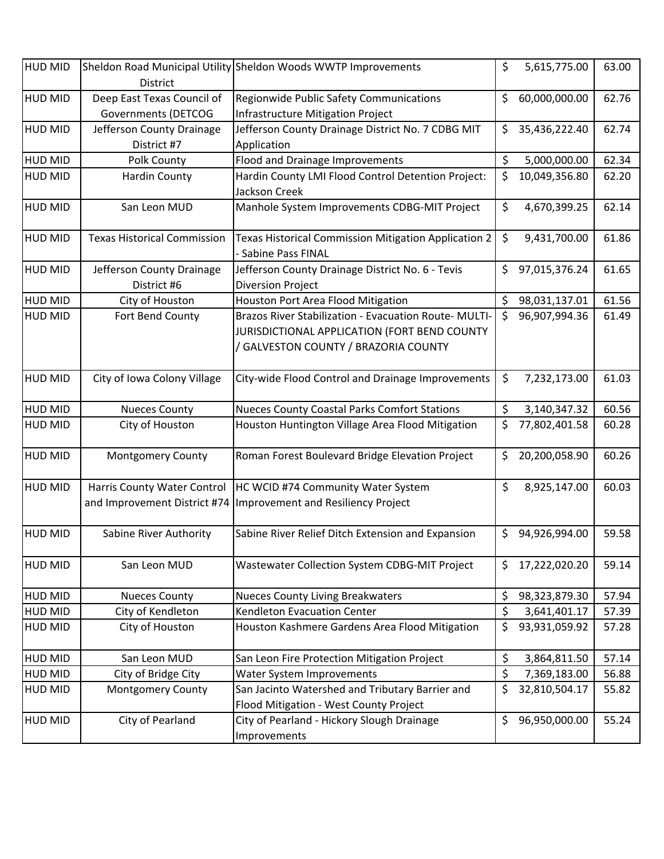| <b>HUD MID</b> | District                           | Sheldon Road Municipal Utility Sheldon Woods WWTP Improvements              | \$<br>5,615,775.00  | 63.00 |
|----------------|------------------------------------|-----------------------------------------------------------------------------|---------------------|-------|
| <b>HUD MID</b> | Deep East Texas Council of         | Regionwide Public Safety Communications                                     | \$<br>60,000,000.00 | 62.76 |
|                | Governments (DETCOG                | <b>Infrastructure Mitigation Project</b>                                    |                     |       |
| <b>HUD MID</b> | Jefferson County Drainage          | Jefferson County Drainage District No. 7 CDBG MIT                           | \$<br>35,436,222.40 | 62.74 |
|                | District #7                        | Application                                                                 |                     |       |
| <b>HUD MID</b> | Polk County                        | Flood and Drainage Improvements                                             | \$<br>5,000,000.00  | 62.34 |
| <b>HUD MID</b> | <b>Hardin County</b>               | Hardin County LMI Flood Control Detention Project:                          | \$<br>10,049,356.80 | 62.20 |
|                |                                    | Jackson Creek                                                               |                     |       |
| <b>HUD MID</b> | San Leon MUD                       | Manhole System Improvements CDBG-MIT Project                                | \$<br>4,670,399.25  | 62.14 |
| <b>HUD MID</b> | <b>Texas Historical Commission</b> | Texas Historical Commission Mitigation Application 2<br>- Sabine Pass FINAL | \$<br>9,431,700.00  | 61.86 |
| <b>HUD MID</b> | Jefferson County Drainage          | Jefferson County Drainage District No. 6 - Tevis                            | \$<br>97,015,376.24 | 61.65 |
|                | District #6                        | <b>Diversion Project</b>                                                    |                     |       |
| <b>HUD MID</b> | City of Houston                    | Houston Port Area Flood Mitigation                                          | \$<br>98,031,137.01 | 61.56 |
| <b>HUD MID</b> | Fort Bend County                   | Brazos River Stabilization - Evacuation Route- MULTI-                       | \$<br>96,907,994.36 | 61.49 |
|                |                                    | JURISDICTIONAL APPLICATION (FORT BEND COUNTY                                |                     |       |
|                |                                    | / GALVESTON COUNTY / BRAZORIA COUNTY                                        |                     |       |
| <b>HUD MID</b> | City of Iowa Colony Village        | City-wide Flood Control and Drainage Improvements                           | \$<br>7,232,173.00  | 61.03 |
| <b>HUD MID</b> | <b>Nueces County</b>               | <b>Nueces County Coastal Parks Comfort Stations</b>                         | \$<br>3,140,347.32  | 60.56 |
| <b>HUD MID</b> | City of Houston                    | Houston Huntington Village Area Flood Mitigation                            | \$<br>77,802,401.58 | 60.28 |
| <b>HUD MID</b> | Montgomery County                  | Roman Forest Boulevard Bridge Elevation Project                             | \$<br>20,200,058.90 | 60.26 |
| <b>HUD MID</b> | Harris County Water Control        | HC WCID #74 Community Water System                                          | \$<br>8,925,147.00  | 60.03 |
|                | and Improvement District #74       | Improvement and Resiliency Project                                          |                     |       |
| <b>HUD MID</b> | Sabine River Authority             | Sabine River Relief Ditch Extension and Expansion                           | \$<br>94,926,994.00 | 59.58 |
| <b>HUD MID</b> | San Leon MUD                       | Wastewater Collection System CDBG-MIT Project                               | \$<br>17,222,020.20 | 59.14 |
| <b>HUD MID</b> | <b>Nueces County</b>               | <b>Nueces County Living Breakwaters</b>                                     | \$<br>98,323,879.30 | 57.94 |
| <b>HUD MID</b> | City of Kendleton                  | Kendleton Evacuation Center                                                 | \$<br>3,641,401.17  | 57.39 |
| <b>HUD MID</b> | City of Houston                    | Houston Kashmere Gardens Area Flood Mitigation                              | \$<br>93,931,059.92 | 57.28 |
|                |                                    |                                                                             |                     |       |
| <b>HUD MID</b> | San Leon MUD                       | San Leon Fire Protection Mitigation Project                                 | \$<br>3,864,811.50  | 57.14 |
| <b>HUD MID</b> | City of Bridge City                | Water System Improvements                                                   | \$<br>7,369,183.00  | 56.88 |
| <b>HUD MID</b> | <b>Montgomery County</b>           | San Jacinto Watershed and Tributary Barrier and                             | \$<br>32,810,504.17 | 55.82 |
|                |                                    | Flood Mitigation - West County Project                                      |                     |       |
| <b>HUD MID</b> | City of Pearland                   | City of Pearland - Hickory Slough Drainage                                  | \$<br>96,950,000.00 | 55.24 |
|                |                                    | Improvements                                                                |                     |       |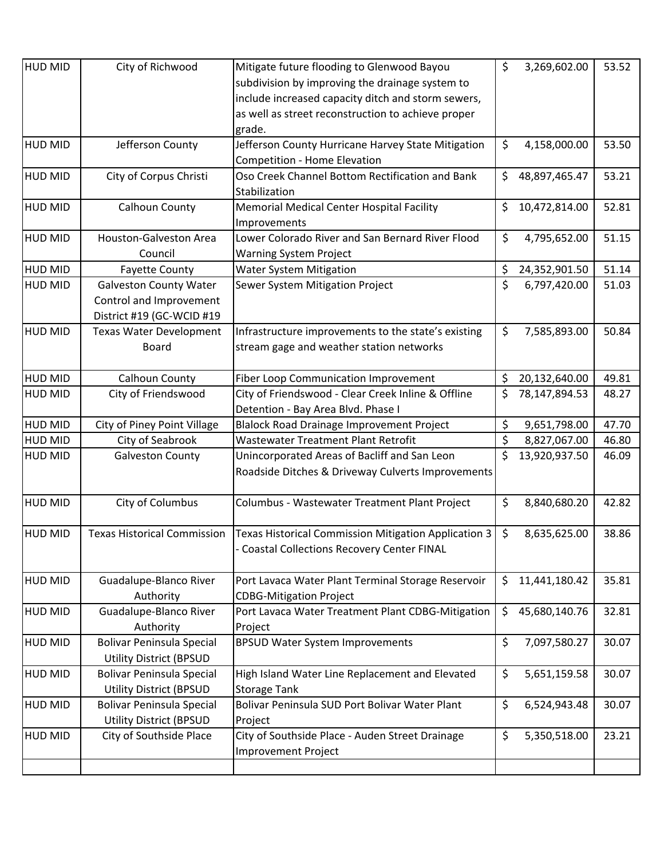| subdivision by improving the drainage system to<br>include increased capacity ditch and storm sewers,<br>as well as street reconstruction to achieve proper<br>grade.<br>\$<br>HUD MID<br>Jefferson County<br>Jefferson County Hurricane Harvey State Mitigation<br>4,158,000.00<br>53.50<br>Competition - Home Elevation<br>Oso Creek Channel Bottom Rectification and Bank<br>\$<br>53.21<br>City of Corpus Christi<br>48,897,465.47<br><b>HUD MID</b><br>Stabilization<br>Calhoun County<br>\$<br><b>HUD MID</b><br><b>Memorial Medical Center Hospital Facility</b><br>10,472,814.00<br>52.81<br>Improvements<br>\$<br><b>HUD MID</b><br><b>Houston-Galveston Area</b><br>Lower Colorado River and San Bernard River Flood<br>4,795,652.00<br>51.15<br>Council<br><b>Warning System Project</b><br>\$<br><b>HUD MID</b><br>51.14<br><b>Water System Mitigation</b><br>24,352,901.50<br><b>Fayette County</b><br>\$<br>6,797,420.00<br><b>HUD MID</b><br><b>Galveston County Water</b><br>Sewer System Mitigation Project<br>51.03<br>Control and Improvement<br>District #19 (GC-WCID #19<br>\$<br><b>HUD MID</b><br>Texas Water Development<br>Infrastructure improvements to the state's existing<br>7,585,893.00<br>50.84<br>stream gage and weather station networks<br><b>Board</b><br><b>HUD MID</b><br>Calhoun County<br>20,132,640.00<br>49.81<br>Fiber Loop Communication Improvement<br>\$<br>City of Friendswood - Clear Creek Inline & Offline<br>\$<br><b>HUD MID</b><br>City of Friendswood<br>78,147,894.53<br>48.27<br>Detention - Bay Area Blvd. Phase I<br>\$<br><b>HUD MID</b><br><b>Blalock Road Drainage Improvement Project</b><br>47.70<br>City of Piney Point Village<br>9,651,798.00<br>\$<br><b>HUD MID</b><br>City of Seabrook<br>8,827,067.00<br>46.80<br><b>Wastewater Treatment Plant Retrofit</b><br>\$<br>Unincorporated Areas of Bacliff and San Leon<br>13,920,937.50<br>46.09<br><b>HUD MID</b><br><b>Galveston County</b><br>Roadside Ditches & Driveway Culverts Improvements<br>\$<br>City of Columbus<br><b>HUD MID</b><br>8,840,680.20<br>42.82<br>Columbus - Wastewater Treatment Plant Project<br>\$<br><b>HUD MID</b><br><b>Texas Historical Commission</b><br>Texas Historical Commission Mitigation Application 3<br>8,635,625.00<br>38.86<br><b>Coastal Collections Recovery Center FINAL</b> |
|-------------------------------------------------------------------------------------------------------------------------------------------------------------------------------------------------------------------------------------------------------------------------------------------------------------------------------------------------------------------------------------------------------------------------------------------------------------------------------------------------------------------------------------------------------------------------------------------------------------------------------------------------------------------------------------------------------------------------------------------------------------------------------------------------------------------------------------------------------------------------------------------------------------------------------------------------------------------------------------------------------------------------------------------------------------------------------------------------------------------------------------------------------------------------------------------------------------------------------------------------------------------------------------------------------------------------------------------------------------------------------------------------------------------------------------------------------------------------------------------------------------------------------------------------------------------------------------------------------------------------------------------------------------------------------------------------------------------------------------------------------------------------------------------------------------------------------------------------------------------------------------------------------------------------------------------------------------------------------------------------------------------------------------------------------------------------------------------------------------------------------------------------------------------------------------------------------------------------------------------------------------------------------------------------------------------------------------------------|
|                                                                                                                                                                                                                                                                                                                                                                                                                                                                                                                                                                                                                                                                                                                                                                                                                                                                                                                                                                                                                                                                                                                                                                                                                                                                                                                                                                                                                                                                                                                                                                                                                                                                                                                                                                                                                                                                                                                                                                                                                                                                                                                                                                                                                                                                                                                                                 |
|                                                                                                                                                                                                                                                                                                                                                                                                                                                                                                                                                                                                                                                                                                                                                                                                                                                                                                                                                                                                                                                                                                                                                                                                                                                                                                                                                                                                                                                                                                                                                                                                                                                                                                                                                                                                                                                                                                                                                                                                                                                                                                                                                                                                                                                                                                                                                 |
|                                                                                                                                                                                                                                                                                                                                                                                                                                                                                                                                                                                                                                                                                                                                                                                                                                                                                                                                                                                                                                                                                                                                                                                                                                                                                                                                                                                                                                                                                                                                                                                                                                                                                                                                                                                                                                                                                                                                                                                                                                                                                                                                                                                                                                                                                                                                                 |
|                                                                                                                                                                                                                                                                                                                                                                                                                                                                                                                                                                                                                                                                                                                                                                                                                                                                                                                                                                                                                                                                                                                                                                                                                                                                                                                                                                                                                                                                                                                                                                                                                                                                                                                                                                                                                                                                                                                                                                                                                                                                                                                                                                                                                                                                                                                                                 |
|                                                                                                                                                                                                                                                                                                                                                                                                                                                                                                                                                                                                                                                                                                                                                                                                                                                                                                                                                                                                                                                                                                                                                                                                                                                                                                                                                                                                                                                                                                                                                                                                                                                                                                                                                                                                                                                                                                                                                                                                                                                                                                                                                                                                                                                                                                                                                 |
|                                                                                                                                                                                                                                                                                                                                                                                                                                                                                                                                                                                                                                                                                                                                                                                                                                                                                                                                                                                                                                                                                                                                                                                                                                                                                                                                                                                                                                                                                                                                                                                                                                                                                                                                                                                                                                                                                                                                                                                                                                                                                                                                                                                                                                                                                                                                                 |
|                                                                                                                                                                                                                                                                                                                                                                                                                                                                                                                                                                                                                                                                                                                                                                                                                                                                                                                                                                                                                                                                                                                                                                                                                                                                                                                                                                                                                                                                                                                                                                                                                                                                                                                                                                                                                                                                                                                                                                                                                                                                                                                                                                                                                                                                                                                                                 |
|                                                                                                                                                                                                                                                                                                                                                                                                                                                                                                                                                                                                                                                                                                                                                                                                                                                                                                                                                                                                                                                                                                                                                                                                                                                                                                                                                                                                                                                                                                                                                                                                                                                                                                                                                                                                                                                                                                                                                                                                                                                                                                                                                                                                                                                                                                                                                 |
|                                                                                                                                                                                                                                                                                                                                                                                                                                                                                                                                                                                                                                                                                                                                                                                                                                                                                                                                                                                                                                                                                                                                                                                                                                                                                                                                                                                                                                                                                                                                                                                                                                                                                                                                                                                                                                                                                                                                                                                                                                                                                                                                                                                                                                                                                                                                                 |
|                                                                                                                                                                                                                                                                                                                                                                                                                                                                                                                                                                                                                                                                                                                                                                                                                                                                                                                                                                                                                                                                                                                                                                                                                                                                                                                                                                                                                                                                                                                                                                                                                                                                                                                                                                                                                                                                                                                                                                                                                                                                                                                                                                                                                                                                                                                                                 |
|                                                                                                                                                                                                                                                                                                                                                                                                                                                                                                                                                                                                                                                                                                                                                                                                                                                                                                                                                                                                                                                                                                                                                                                                                                                                                                                                                                                                                                                                                                                                                                                                                                                                                                                                                                                                                                                                                                                                                                                                                                                                                                                                                                                                                                                                                                                                                 |
|                                                                                                                                                                                                                                                                                                                                                                                                                                                                                                                                                                                                                                                                                                                                                                                                                                                                                                                                                                                                                                                                                                                                                                                                                                                                                                                                                                                                                                                                                                                                                                                                                                                                                                                                                                                                                                                                                                                                                                                                                                                                                                                                                                                                                                                                                                                                                 |
|                                                                                                                                                                                                                                                                                                                                                                                                                                                                                                                                                                                                                                                                                                                                                                                                                                                                                                                                                                                                                                                                                                                                                                                                                                                                                                                                                                                                                                                                                                                                                                                                                                                                                                                                                                                                                                                                                                                                                                                                                                                                                                                                                                                                                                                                                                                                                 |
|                                                                                                                                                                                                                                                                                                                                                                                                                                                                                                                                                                                                                                                                                                                                                                                                                                                                                                                                                                                                                                                                                                                                                                                                                                                                                                                                                                                                                                                                                                                                                                                                                                                                                                                                                                                                                                                                                                                                                                                                                                                                                                                                                                                                                                                                                                                                                 |
|                                                                                                                                                                                                                                                                                                                                                                                                                                                                                                                                                                                                                                                                                                                                                                                                                                                                                                                                                                                                                                                                                                                                                                                                                                                                                                                                                                                                                                                                                                                                                                                                                                                                                                                                                                                                                                                                                                                                                                                                                                                                                                                                                                                                                                                                                                                                                 |
|                                                                                                                                                                                                                                                                                                                                                                                                                                                                                                                                                                                                                                                                                                                                                                                                                                                                                                                                                                                                                                                                                                                                                                                                                                                                                                                                                                                                                                                                                                                                                                                                                                                                                                                                                                                                                                                                                                                                                                                                                                                                                                                                                                                                                                                                                                                                                 |
|                                                                                                                                                                                                                                                                                                                                                                                                                                                                                                                                                                                                                                                                                                                                                                                                                                                                                                                                                                                                                                                                                                                                                                                                                                                                                                                                                                                                                                                                                                                                                                                                                                                                                                                                                                                                                                                                                                                                                                                                                                                                                                                                                                                                                                                                                                                                                 |
|                                                                                                                                                                                                                                                                                                                                                                                                                                                                                                                                                                                                                                                                                                                                                                                                                                                                                                                                                                                                                                                                                                                                                                                                                                                                                                                                                                                                                                                                                                                                                                                                                                                                                                                                                                                                                                                                                                                                                                                                                                                                                                                                                                                                                                                                                                                                                 |
|                                                                                                                                                                                                                                                                                                                                                                                                                                                                                                                                                                                                                                                                                                                                                                                                                                                                                                                                                                                                                                                                                                                                                                                                                                                                                                                                                                                                                                                                                                                                                                                                                                                                                                                                                                                                                                                                                                                                                                                                                                                                                                                                                                                                                                                                                                                                                 |
|                                                                                                                                                                                                                                                                                                                                                                                                                                                                                                                                                                                                                                                                                                                                                                                                                                                                                                                                                                                                                                                                                                                                                                                                                                                                                                                                                                                                                                                                                                                                                                                                                                                                                                                                                                                                                                                                                                                                                                                                                                                                                                                                                                                                                                                                                                                                                 |
|                                                                                                                                                                                                                                                                                                                                                                                                                                                                                                                                                                                                                                                                                                                                                                                                                                                                                                                                                                                                                                                                                                                                                                                                                                                                                                                                                                                                                                                                                                                                                                                                                                                                                                                                                                                                                                                                                                                                                                                                                                                                                                                                                                                                                                                                                                                                                 |
|                                                                                                                                                                                                                                                                                                                                                                                                                                                                                                                                                                                                                                                                                                                                                                                                                                                                                                                                                                                                                                                                                                                                                                                                                                                                                                                                                                                                                                                                                                                                                                                                                                                                                                                                                                                                                                                                                                                                                                                                                                                                                                                                                                                                                                                                                                                                                 |
|                                                                                                                                                                                                                                                                                                                                                                                                                                                                                                                                                                                                                                                                                                                                                                                                                                                                                                                                                                                                                                                                                                                                                                                                                                                                                                                                                                                                                                                                                                                                                                                                                                                                                                                                                                                                                                                                                                                                                                                                                                                                                                                                                                                                                                                                                                                                                 |
|                                                                                                                                                                                                                                                                                                                                                                                                                                                                                                                                                                                                                                                                                                                                                                                                                                                                                                                                                                                                                                                                                                                                                                                                                                                                                                                                                                                                                                                                                                                                                                                                                                                                                                                                                                                                                                                                                                                                                                                                                                                                                                                                                                                                                                                                                                                                                 |
|                                                                                                                                                                                                                                                                                                                                                                                                                                                                                                                                                                                                                                                                                                                                                                                                                                                                                                                                                                                                                                                                                                                                                                                                                                                                                                                                                                                                                                                                                                                                                                                                                                                                                                                                                                                                                                                                                                                                                                                                                                                                                                                                                                                                                                                                                                                                                 |
|                                                                                                                                                                                                                                                                                                                                                                                                                                                                                                                                                                                                                                                                                                                                                                                                                                                                                                                                                                                                                                                                                                                                                                                                                                                                                                                                                                                                                                                                                                                                                                                                                                                                                                                                                                                                                                                                                                                                                                                                                                                                                                                                                                                                                                                                                                                                                 |
|                                                                                                                                                                                                                                                                                                                                                                                                                                                                                                                                                                                                                                                                                                                                                                                                                                                                                                                                                                                                                                                                                                                                                                                                                                                                                                                                                                                                                                                                                                                                                                                                                                                                                                                                                                                                                                                                                                                                                                                                                                                                                                                                                                                                                                                                                                                                                 |
|                                                                                                                                                                                                                                                                                                                                                                                                                                                                                                                                                                                                                                                                                                                                                                                                                                                                                                                                                                                                                                                                                                                                                                                                                                                                                                                                                                                                                                                                                                                                                                                                                                                                                                                                                                                                                                                                                                                                                                                                                                                                                                                                                                                                                                                                                                                                                 |
|                                                                                                                                                                                                                                                                                                                                                                                                                                                                                                                                                                                                                                                                                                                                                                                                                                                                                                                                                                                                                                                                                                                                                                                                                                                                                                                                                                                                                                                                                                                                                                                                                                                                                                                                                                                                                                                                                                                                                                                                                                                                                                                                                                                                                                                                                                                                                 |
|                                                                                                                                                                                                                                                                                                                                                                                                                                                                                                                                                                                                                                                                                                                                                                                                                                                                                                                                                                                                                                                                                                                                                                                                                                                                                                                                                                                                                                                                                                                                                                                                                                                                                                                                                                                                                                                                                                                                                                                                                                                                                                                                                                                                                                                                                                                                                 |
|                                                                                                                                                                                                                                                                                                                                                                                                                                                                                                                                                                                                                                                                                                                                                                                                                                                                                                                                                                                                                                                                                                                                                                                                                                                                                                                                                                                                                                                                                                                                                                                                                                                                                                                                                                                                                                                                                                                                                                                                                                                                                                                                                                                                                                                                                                                                                 |
| <b>HUD MID</b><br>Guadalupe-Blanco River<br>Port Lavaca Water Plant Terminal Storage Reservoir<br>\$<br>11,441,180.42<br>35.81                                                                                                                                                                                                                                                                                                                                                                                                                                                                                                                                                                                                                                                                                                                                                                                                                                                                                                                                                                                                                                                                                                                                                                                                                                                                                                                                                                                                                                                                                                                                                                                                                                                                                                                                                                                                                                                                                                                                                                                                                                                                                                                                                                                                                  |
| Authority<br><b>CDBG-Mitigation Project</b><br>Port Lavaca Water Treatment Plant CDBG-Mitigation                                                                                                                                                                                                                                                                                                                                                                                                                                                                                                                                                                                                                                                                                                                                                                                                                                                                                                                                                                                                                                                                                                                                                                                                                                                                                                                                                                                                                                                                                                                                                                                                                                                                                                                                                                                                                                                                                                                                                                                                                                                                                                                                                                                                                                                |
| \$<br>Guadalupe-Blanco River<br><b>HUD MID</b><br>45,680,140.76<br>32.81                                                                                                                                                                                                                                                                                                                                                                                                                                                                                                                                                                                                                                                                                                                                                                                                                                                                                                                                                                                                                                                                                                                                                                                                                                                                                                                                                                                                                                                                                                                                                                                                                                                                                                                                                                                                                                                                                                                                                                                                                                                                                                                                                                                                                                                                        |
| Authority<br>Project<br>\$<br><b>Bolivar Peninsula Special</b><br><b>HUD MID</b><br><b>BPSUD Water System Improvements</b><br>7,097,580.27<br>30.07                                                                                                                                                                                                                                                                                                                                                                                                                                                                                                                                                                                                                                                                                                                                                                                                                                                                                                                                                                                                                                                                                                                                                                                                                                                                                                                                                                                                                                                                                                                                                                                                                                                                                                                                                                                                                                                                                                                                                                                                                                                                                                                                                                                             |
| <b>Utility District (BPSUD</b>                                                                                                                                                                                                                                                                                                                                                                                                                                                                                                                                                                                                                                                                                                                                                                                                                                                                                                                                                                                                                                                                                                                                                                                                                                                                                                                                                                                                                                                                                                                                                                                                                                                                                                                                                                                                                                                                                                                                                                                                                                                                                                                                                                                                                                                                                                                  |
| \$<br><b>HUD MID</b><br><b>Bolivar Peninsula Special</b><br>5,651,159.58<br>30.07<br>High Island Water Line Replacement and Elevated                                                                                                                                                                                                                                                                                                                                                                                                                                                                                                                                                                                                                                                                                                                                                                                                                                                                                                                                                                                                                                                                                                                                                                                                                                                                                                                                                                                                                                                                                                                                                                                                                                                                                                                                                                                                                                                                                                                                                                                                                                                                                                                                                                                                            |
| <b>Utility District (BPSUD</b><br><b>Storage Tank</b>                                                                                                                                                                                                                                                                                                                                                                                                                                                                                                                                                                                                                                                                                                                                                                                                                                                                                                                                                                                                                                                                                                                                                                                                                                                                                                                                                                                                                                                                                                                                                                                                                                                                                                                                                                                                                                                                                                                                                                                                                                                                                                                                                                                                                                                                                           |
| \$<br><b>HUD MID</b><br>Bolivar Peninsula SUD Port Bolivar Water Plant<br>6,524,943.48<br>30.07<br><b>Bolivar Peninsula Special</b>                                                                                                                                                                                                                                                                                                                                                                                                                                                                                                                                                                                                                                                                                                                                                                                                                                                                                                                                                                                                                                                                                                                                                                                                                                                                                                                                                                                                                                                                                                                                                                                                                                                                                                                                                                                                                                                                                                                                                                                                                                                                                                                                                                                                             |
|                                                                                                                                                                                                                                                                                                                                                                                                                                                                                                                                                                                                                                                                                                                                                                                                                                                                                                                                                                                                                                                                                                                                                                                                                                                                                                                                                                                                                                                                                                                                                                                                                                                                                                                                                                                                                                                                                                                                                                                                                                                                                                                                                                                                                                                                                                                                                 |
| <b>Utility District (BPSUD</b><br>Project<br>\$<br><b>HUD MID</b><br>City of Southside Place<br>City of Southside Place - Auden Street Drainage<br>23.21                                                                                                                                                                                                                                                                                                                                                                                                                                                                                                                                                                                                                                                                                                                                                                                                                                                                                                                                                                                                                                                                                                                                                                                                                                                                                                                                                                                                                                                                                                                                                                                                                                                                                                                                                                                                                                                                                                                                                                                                                                                                                                                                                                                        |
| 5,350,518.00<br>Improvement Project                                                                                                                                                                                                                                                                                                                                                                                                                                                                                                                                                                                                                                                                                                                                                                                                                                                                                                                                                                                                                                                                                                                                                                                                                                                                                                                                                                                                                                                                                                                                                                                                                                                                                                                                                                                                                                                                                                                                                                                                                                                                                                                                                                                                                                                                                                             |
|                                                                                                                                                                                                                                                                                                                                                                                                                                                                                                                                                                                                                                                                                                                                                                                                                                                                                                                                                                                                                                                                                                                                                                                                                                                                                                                                                                                                                                                                                                                                                                                                                                                                                                                                                                                                                                                                                                                                                                                                                                                                                                                                                                                                                                                                                                                                                 |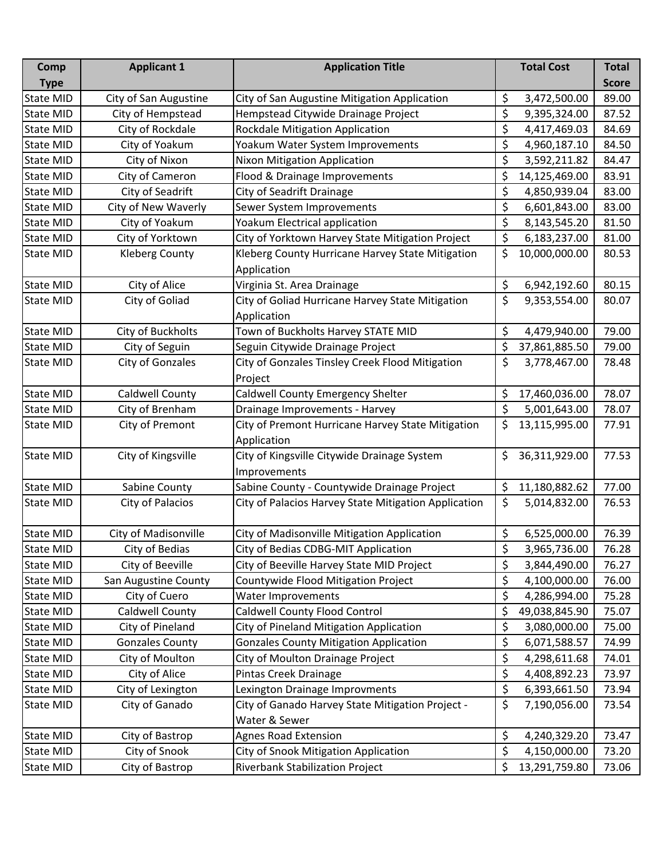| Comp             | <b>Applicant 1</b>     | <b>Application Title</b>                             | <b>Total Cost</b>   | <b>Total</b> |
|------------------|------------------------|------------------------------------------------------|---------------------|--------------|
| <b>Type</b>      |                        |                                                      |                     | <b>Score</b> |
| <b>State MID</b> | City of San Augustine  | City of San Augustine Mitigation Application         | \$<br>3,472,500.00  | 89.00        |
| <b>State MID</b> | City of Hempstead      | Hempstead Citywide Drainage Project                  | \$<br>9,395,324.00  | 87.52        |
| <b>State MID</b> | City of Rockdale       | Rockdale Mitigation Application                      | \$<br>4,417,469.03  | 84.69        |
| <b>State MID</b> | City of Yoakum         | Yoakum Water System Improvements                     | \$<br>4,960,187.10  | 84.50        |
| <b>State MID</b> | City of Nixon          | Nixon Mitigation Application                         | \$<br>3,592,211.82  | 84.47        |
| <b>State MID</b> | City of Cameron        | Flood & Drainage Improvements                        | \$<br>14,125,469.00 | 83.91        |
| <b>State MID</b> | City of Seadrift       | City of Seadrift Drainage                            | \$<br>4,850,939.04  | 83.00        |
| <b>State MID</b> | City of New Waverly    | Sewer System Improvements                            | \$<br>6,601,843.00  | 83.00        |
| <b>State MID</b> | City of Yoakum         | Yoakum Electrical application                        | \$<br>8,143,545.20  | 81.50        |
| <b>State MID</b> | City of Yorktown       | City of Yorktown Harvey State Mitigation Project     | \$<br>6,183,237.00  | 81.00        |
| <b>State MID</b> | <b>Kleberg County</b>  | Kleberg County Hurricane Harvey State Mitigation     | \$<br>10,000,000.00 | 80.53        |
|                  |                        | Application                                          |                     |              |
| <b>State MID</b> | City of Alice          | Virginia St. Area Drainage                           | \$<br>6,942,192.60  | 80.15        |
| <b>State MID</b> | City of Goliad         | City of Goliad Hurricane Harvey State Mitigation     | \$<br>9,353,554.00  | 80.07        |
|                  |                        | Application                                          |                     |              |
| <b>State MID</b> | City of Buckholts      | Town of Buckholts Harvey STATE MID                   | \$<br>4,479,940.00  | 79.00        |
| <b>State MID</b> | City of Seguin         | Seguin Citywide Drainage Project                     | \$<br>37,861,885.50 | 79.00        |
| <b>State MID</b> | City of Gonzales       | City of Gonzales Tinsley Creek Flood Mitigation      | \$<br>3,778,467.00  | 78.48        |
|                  |                        | Project                                              |                     |              |
| <b>State MID</b> | <b>Caldwell County</b> | Caldwell County Emergency Shelter                    | \$<br>17,460,036.00 | 78.07        |
| <b>State MID</b> | City of Brenham        | Drainage Improvements - Harvey                       | \$<br>5,001,643.00  | 78.07        |
| <b>State MID</b> | City of Premont        | City of Premont Hurricane Harvey State Mitigation    | \$<br>13,115,995.00 | 77.91        |
|                  |                        | Application                                          |                     |              |
| <b>State MID</b> | City of Kingsville     | City of Kingsville Citywide Drainage System          | \$<br>36,311,929.00 | 77.53        |
|                  |                        | Improvements                                         |                     |              |
| State MID        | Sabine County          | Sabine County - Countywide Drainage Project          | \$<br>11,180,882.62 | 77.00        |
| <b>State MID</b> | City of Palacios       | City of Palacios Harvey State Mitigation Application | \$<br>5,014,832.00  | 76.53        |
|                  |                        |                                                      |                     |              |
| <b>State MID</b> | City of Madisonville   | City of Madisonville Mitigation Application          | \$<br>6,525,000.00  | 76.39        |
| <b>State MID</b> | City of Bedias         | City of Bedias CDBG-MIT Application                  | \$<br>3,965,736.00  | 76.28        |
| <b>State MID</b> | City of Beeville       | City of Beeville Harvey State MID Project            | \$<br>3,844,490.00  | 76.27        |
| <b>State MID</b> | San Augustine County   | Countywide Flood Mitigation Project                  | \$<br>4,100,000.00  | 76.00        |
| <b>State MID</b> | City of Cuero          | Water Improvements                                   | \$<br>4,286,994.00  | 75.28        |
| State MID        | Caldwell County        | Caldwell County Flood Control                        | \$<br>49,038,845.90 | 75.07        |
| State MID        | City of Pineland       | City of Pineland Mitigation Application              | \$<br>3,080,000.00  | 75.00        |
| State MID        | <b>Gonzales County</b> | <b>Gonzales County Mitigation Application</b>        | \$<br>6,071,588.57  | 74.99        |
| State MID        | City of Moulton        | City of Moulton Drainage Project                     | \$<br>4,298,611.68  | 74.01        |
| State MID        | City of Alice          | Pintas Creek Drainage                                | \$<br>4,408,892.23  | 73.97        |
| State MID        | City of Lexington      | Lexington Drainage Improvments                       | \$<br>6,393,661.50  | 73.94        |
| <b>State MID</b> | City of Ganado         | City of Ganado Harvey State Mitigation Project -     | \$<br>7,190,056.00  | 73.54        |
|                  |                        | Water & Sewer                                        |                     |              |
| <b>State MID</b> | City of Bastrop        | <b>Agnes Road Extension</b>                          | \$<br>4,240,329.20  | 73.47        |
| State MID        | City of Snook          | City of Snook Mitigation Application                 | \$<br>4,150,000.00  | 73.20        |
| <b>State MID</b> | City of Bastrop        | Riverbank Stabilization Project                      | \$<br>13,291,759.80 | 73.06        |